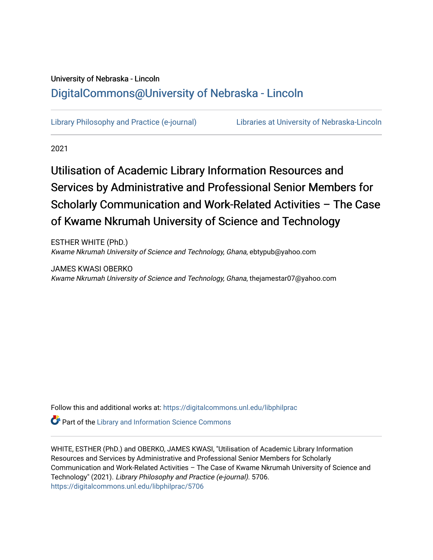## University of Nebraska - Lincoln [DigitalCommons@University of Nebraska - Lincoln](https://digitalcommons.unl.edu/)

[Library Philosophy and Practice \(e-journal\)](https://digitalcommons.unl.edu/libphilprac) [Libraries at University of Nebraska-Lincoln](https://digitalcommons.unl.edu/libraries) 

2021

# Utilisation of Academic Library Information Resources and Services by Administrative and Professional Senior Members for Scholarly Communication and Work-Related Activities – The Case of Kwame Nkrumah University of Science and Technology

ESTHER WHITE (PhD.) Kwame Nkrumah University of Science and Technology, Ghana, ebtypub@yahoo.com

JAMES KWASI OBERKO Kwame Nkrumah University of Science and Technology, Ghana, thejamestar07@yahoo.com

Follow this and additional works at: [https://digitalcommons.unl.edu/libphilprac](https://digitalcommons.unl.edu/libphilprac?utm_source=digitalcommons.unl.edu%2Flibphilprac%2F5706&utm_medium=PDF&utm_campaign=PDFCoverPages) 

**P** Part of the Library and Information Science Commons

WHITE, ESTHER (PhD.) and OBERKO, JAMES KWASI, "Utilisation of Academic Library Information Resources and Services by Administrative and Professional Senior Members for Scholarly Communication and Work-Related Activities – The Case of Kwame Nkrumah University of Science and Technology" (2021). Library Philosophy and Practice (e-journal). 5706. [https://digitalcommons.unl.edu/libphilprac/5706](https://digitalcommons.unl.edu/libphilprac/5706?utm_source=digitalcommons.unl.edu%2Flibphilprac%2F5706&utm_medium=PDF&utm_campaign=PDFCoverPages)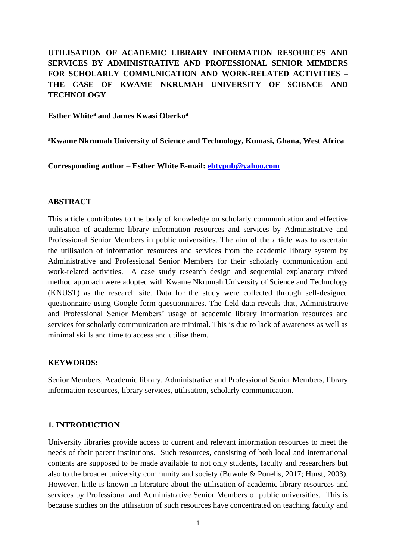## **UTILISATION OF ACADEMIC LIBRARY INFORMATION RESOURCES AND SERVICES BY ADMINISTRATIVE AND PROFESSIONAL SENIOR MEMBERS FOR SCHOLARLY COMMUNICATION AND WORK-RELATED ACTIVITIES – THE CASE OF KWAME NKRUMAH UNIVERSITY OF SCIENCE AND TECHNOLOGY**

#### **Esther White<sup>a</sup> and James Kwasi Oberko<sup>a</sup>**

**<sup>a</sup>Kwame Nkrumah University of Science and Technology, Kumasi, Ghana, West Africa**

**Corresponding author – Esther White E-mail: [ebtypub@yahoo.com](mailto:ebtypub@yahoo.com)**

#### **ABSTRACT**

This article contributes to the body of knowledge on scholarly communication and effective utilisation of academic library information resources and services by Administrative and Professional Senior Members in public universities. The aim of the article was to ascertain the utilisation of information resources and services from the academic library system by Administrative and Professional Senior Members for their scholarly communication and work-related activities. A case study research design and sequential explanatory mixed method approach were adopted with Kwame Nkrumah University of Science and Technology (KNUST) as the research site. Data for the study were collected through self-designed questionnaire using Google form questionnaires. The field data reveals that, Administrative and Professional Senior Members' usage of academic library information resources and services for scholarly communication are minimal. This is due to lack of awareness as well as minimal skills and time to access and utilise them.

#### **KEYWORDS:**

Senior Members, Academic library, Administrative and Professional Senior Members, library information resources, library services, utilisation, scholarly communication.

#### **1. INTRODUCTION**

University libraries provide access to current and relevant information resources to meet the needs of their parent institutions. Such resources, consisting of both local and international contents are supposed to be made available to not only students, faculty and researchers but also to the broader university community and society (Buwule & Ponelis, 2017; Hurst, 2003). However, little is known in literature about the utilisation of academic library resources and services by Professional and Administrative Senior Members of public universities. This is because studies on the utilisation of such resources have concentrated on teaching faculty and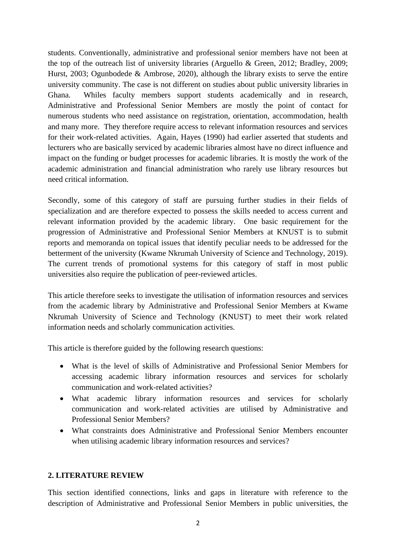students. Conventionally, administrative and professional senior members have not been at the top of the outreach list of university libraries (Arguello & Green, 2012; Bradley, 2009; Hurst, 2003; Ogunbodede & Ambrose, 2020), although the library exists to serve the entire university community. The case is not different on studies about public university libraries in Ghana. Whiles faculty members support students academically and in research, Administrative and Professional Senior Members are mostly the point of contact for numerous students who need assistance on registration, orientation, accommodation, health and many more. They therefore require access to relevant information resources and services for their work-related activities. Again, Hayes (1990) had earlier asserted that students and lecturers who are basically serviced by academic libraries almost have no direct influence and impact on the funding or budget processes for academic libraries. It is mostly the work of the academic administration and financial administration who rarely use library resources but need critical information.

Secondly, some of this category of staff are pursuing further studies in their fields of specialization and are therefore expected to possess the skills needed to access current and relevant information provided by the academic library. One basic requirement for the progression of Administrative and Professional Senior Members at KNUST is to submit reports and memoranda on topical issues that identify peculiar needs to be addressed for the betterment of the university (Kwame Nkrumah University of Science and Technology, 2019). The current trends of promotional systems for this category of staff in most public universities also require the publication of peer-reviewed articles.

This article therefore seeks to investigate the utilisation of information resources and services from the academic library by Administrative and Professional Senior Members at Kwame Nkrumah University of Science and Technology (KNUST) to meet their work related information needs and scholarly communication activities.

This article is therefore guided by the following research questions:

- What is the level of skills of Administrative and Professional Senior Members for accessing academic library information resources and services for scholarly communication and work-related activities?
- What academic library information resources and services for scholarly communication and work-related activities are utilised by Administrative and Professional Senior Members?
- What constraints does Administrative and Professional Senior Members encounter when utilising academic library information resources and services?

#### **2. LITERATURE REVIEW**

This section identified connections, links and gaps in literature with reference to the description of Administrative and Professional Senior Members in public universities, the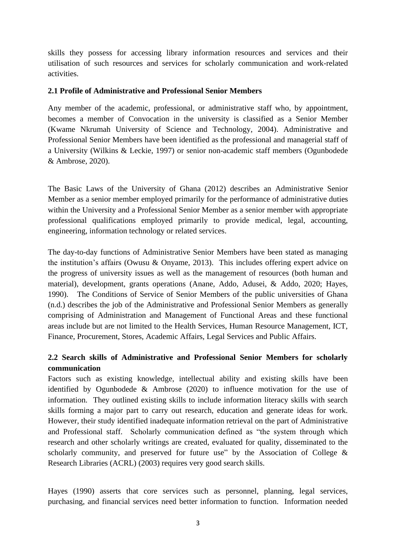skills they possess for accessing library information resources and services and their utilisation of such resources and services for scholarly communication and work-related activities.

#### **2.1 Profile of Administrative and Professional Senior Members**

Any member of the academic, professional, or administrative staff who, by appointment, becomes a member of Convocation in the university is classified as a Senior Member (Kwame Nkrumah University of Science and Technology, 2004). Administrative and Professional Senior Members have been identified as the professional and managerial staff of a University (Wilkins & Leckie, 1997) or senior non-academic staff members (Ogunbodede & Ambrose, 2020).

The Basic Laws of the University of Ghana (2012) describes an Administrative Senior Member as a senior member employed primarily for the performance of administrative duties within the University and a Professional Senior Member as a senior member with appropriate professional qualifications employed primarily to provide medical, legal, accounting, engineering, information technology or related services.

The day-to-day functions of Administrative Senior Members have been stated as managing the institution's affairs (Owusu & Onyame, 2013). This includes offering expert advice on the progress of university issues as well as the management of resources (both human and material), development, grants operations (Anane, Addo, Adusei, & Addo, 2020; Hayes, 1990). The Conditions of Service of Senior Members of the public universities of Ghana (n.d.) describes the job of the Administrative and Professional Senior Members as generally comprising of Administration and Management of Functional Areas and these functional areas include but are not limited to the Health Services, Human Resource Management, ICT, Finance, Procurement, Stores, Academic Affairs, Legal Services and Public Affairs.

## **2.2 Search skills of Administrative and Professional Senior Members for scholarly communication**

Factors such as existing knowledge, intellectual ability and existing skills have been identified by Ogunbodede & Ambrose (2020) to influence motivation for the use of information. They outlined existing skills to include information literacy skills with search skills forming a major part to carry out research, education and generate ideas for work. However, their study identified inadequate information retrieval on the part of Administrative and Professional staff. Scholarly communication defined as "the system through which research and other scholarly writings are created, evaluated for quality, disseminated to the scholarly community, and preserved for future use" by the Association of College  $\&$ Research Libraries (ACRL) (2003) requires very good search skills.

Hayes (1990) asserts that core services such as personnel, planning, legal services, purchasing, and financial services need better information to function. Information needed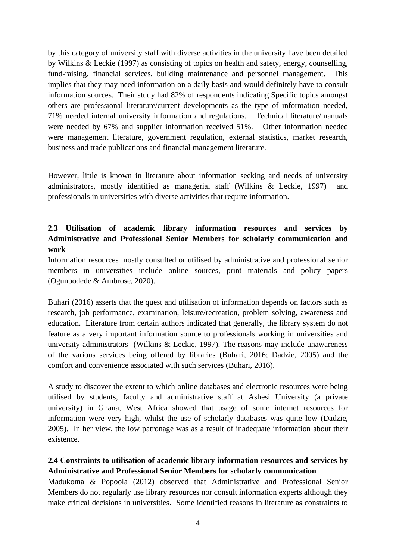by this category of university staff with diverse activities in the university have been detailed by Wilkins & Leckie (1997) as consisting of topics on health and safety, energy, counselling, fund-raising, financial services, building maintenance and personnel management. This implies that they may need information on a daily basis and would definitely have to consult information sources. Their study had 82% of respondents indicating Specific topics amongst others are professional literature/current developments as the type of information needed, 71% needed internal university information and regulations. Technical literature/manuals were needed by 67% and supplier information received 51%. Other information needed were management literature, government regulation, external statistics, market research, business and trade publications and financial management literature.

However, little is known in literature about information seeking and needs of university administrators, mostly identified as managerial staff (Wilkins & Leckie, 1997) and professionals in universities with diverse activities that require information.

## **2.3 Utilisation of academic library information resources and services by Administrative and Professional Senior Members for scholarly communication and work**

Information resources mostly consulted or utilised by administrative and professional senior members in universities include online sources, print materials and policy papers (Ogunbodede & Ambrose, 2020).

Buhari (2016) asserts that the quest and utilisation of information depends on factors such as research, job performance, examination, leisure/recreation, problem solving, awareness and education. Literature from certain authors indicated that generally, the library system do not feature as a very important information source to professionals working in universities and university administrators (Wilkins & Leckie, 1997). The reasons may include unawareness of the various services being offered by libraries (Buhari, 2016; Dadzie, 2005) and the comfort and convenience associated with such services (Buhari, 2016).

A study to discover the extent to which online databases and electronic resources were being utilised by students, faculty and administrative staff at Ashesi University (a private university) in Ghana, West Africa showed that usage of some internet resources for information were very high, whilst the use of scholarly databases was quite low (Dadzie, 2005). In her view, the low patronage was as a result of inadequate information about their existence.

## **2.4 Constraints to utilisation of academic library information resources and services by Administrative and Professional Senior Members for scholarly communication**

Madukoma & Popoola (2012) observed that Administrative and Professional Senior Members do not regularly use library resources nor consult information experts although they make critical decisions in universities. Some identified reasons in literature as constraints to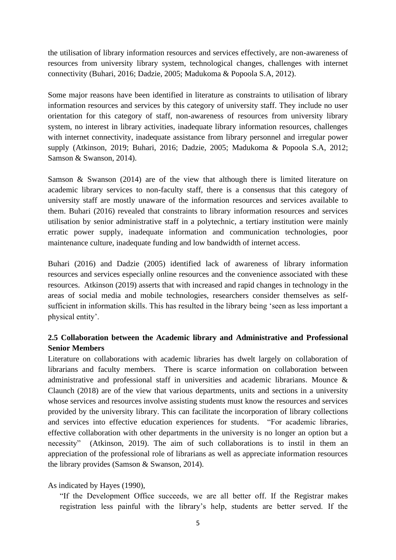the utilisation of library information resources and services effectively, are non-awareness of resources from university library system, technological changes, challenges with internet connectivity (Buhari, 2016; Dadzie, 2005; Madukoma & Popoola S.A, 2012).

Some major reasons have been identified in literature as constraints to utilisation of library information resources and services by this category of university staff. They include no user orientation for this category of staff, non-awareness of resources from university library system, no interest in library activities, inadequate library information resources, challenges with internet connectivity, inadequate assistance from library personnel and irregular power supply (Atkinson, 2019; Buhari, 2016; Dadzie, 2005; Madukoma & Popoola S.A, 2012; Samson & Swanson, 2014).

Samson & Swanson (2014) are of the view that although there is limited literature on academic library services to non-faculty staff, there is a consensus that this category of university staff are mostly unaware of the information resources and services available to them. Buhari (2016) revealed that constraints to library information resources and services utilisation by senior administrative staff in a polytechnic, a tertiary institution were mainly erratic power supply, inadequate information and communication technologies, poor maintenance culture, inadequate funding and low bandwidth of internet access.

Buhari (2016) and Dadzie (2005) identified lack of awareness of library information resources and services especially online resources and the convenience associated with these resources. Atkinson (2019) asserts that with increased and rapid changes in technology in the areas of social media and mobile technologies, researchers consider themselves as selfsufficient in information skills. This has resulted in the library being 'seen as less important a physical entity'.

## **2.5 Collaboration between the Academic library and Administrative and Professional Senior Members**

Literature on collaborations with academic libraries has dwelt largely on collaboration of librarians and faculty members. There is scarce information on collaboration between administrative and professional staff in universities and academic librarians. Mounce & Claunch (2018) are of the view that various departments, units and sections in a university whose services and resources involve assisting students must know the resources and services provided by the university library. This can facilitate the incorporation of library collections and services into effective education experiences for students. "For academic libraries, effective collaboration with other departments in the university is no longer an option but a necessity" (Atkinson, 2019). The aim of such collaborations is to instil in them an appreciation of the professional role of librarians as well as appreciate information resources the library provides (Samson & Swanson, 2014).

#### As indicated by Hayes (1990),

"If the Development Office succeeds, we are all better off. If the Registrar makes registration less painful with the library's help, students are better served. If the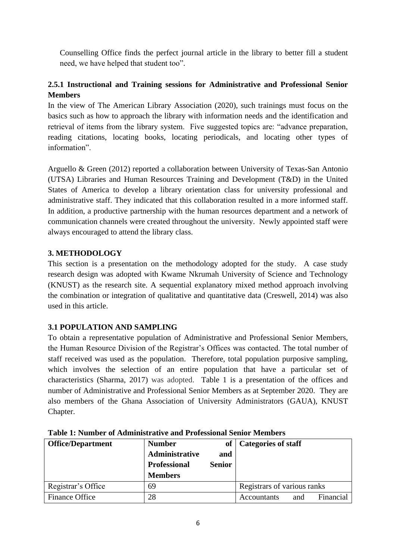Counselling Office finds the perfect journal article in the library to better fill a student need, we have helped that student too".

## **2.5.1 Instructional and Training sessions for Administrative and Professional Senior Members**

In the view of The American Library Association (2020), such trainings must focus on the basics such as how to approach the library with information needs and the identification and retrieval of items from the library system. Five suggested topics are: "advance preparation, reading citations, locating books, locating periodicals, and locating other types of information".

Arguello & Green (2012) reported a collaboration between University of Texas-San Antonio (UTSA) Libraries and Human Resources Training and Development (T&D) in the United States of America to develop a library orientation class for university professional and administrative staff. They indicated that this collaboration resulted in a more informed staff. In addition, a productive partnership with the human resources department and a network of communication channels were created throughout the university. Newly appointed staff were always encouraged to attend the library class.

## **3. METHODOLOGY**

This section is a presentation on the methodology adopted for the study. A case study research design was adopted with Kwame Nkrumah University of Science and Technology (KNUST) as the research site. A sequential explanatory mixed method approach involving the combination or integration of qualitative and quantitative data (Creswell, 2014) was also used in this article.

## **3.1 POPULATION AND SAMPLING**

To obtain a representative population of Administrative and Professional Senior Members, the Human Resource Division of the Registrar's Offices was contacted. The total number of staff received was used as the population. Therefore, total population purposive sampling, which involves the selection of an entire population that have a particular set of characteristics (Sharma, 2017) was adopted. Table 1 is a presentation of the offices and number of Administrative and Professional Senior Members as at September 2020. They are also members of the Ghana Association of University Administrators (GAUA), KNUST Chapter.

| <b>Office/Department</b> | <b>Number</b>       |               | of   Categories of staff        |
|--------------------------|---------------------|---------------|---------------------------------|
|                          | Administrative      | and           |                                 |
|                          | <b>Professional</b> | <b>Senior</b> |                                 |
|                          | <b>Members</b>      |               |                                 |
| Registrar's Office       | 69                  |               | Registrars of various ranks     |
| Finance Office           | 28                  |               | Financial<br>Accountants<br>and |

**Table 1: Number of Administrative and Professional Senior Members**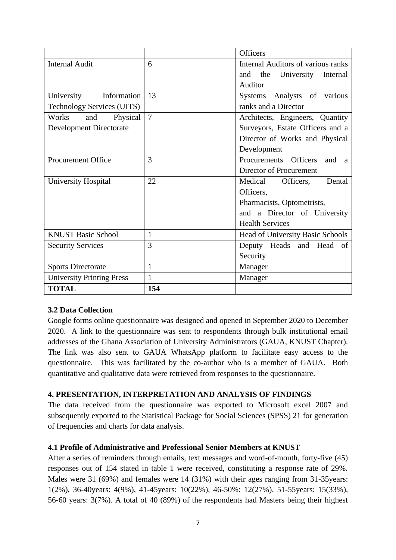|                                   |                | <b>Officers</b>                              |  |  |
|-----------------------------------|----------------|----------------------------------------------|--|--|
| <b>Internal Audit</b>             | 6              | <b>Internal Auditors of various ranks</b>    |  |  |
|                                   |                | and<br>the University<br>Internal            |  |  |
|                                   |                | Auditor                                      |  |  |
| University<br>Information         | 13             | Systems Analysts of various                  |  |  |
| <b>Technology Services (UITS)</b> |                | ranks and a Director                         |  |  |
| Physical<br>Works<br>and          | $\overline{7}$ | Architects, Engineers, Quantity              |  |  |
| <b>Development Directorate</b>    |                | Surveyors, Estate Officers and a             |  |  |
|                                   |                | Director of Works and Physical               |  |  |
|                                   |                | Development                                  |  |  |
| <b>Procurement Office</b>         | 3              | Procurements Officers<br>and<br>$\mathbf{a}$ |  |  |
|                                   |                | Director of Procurement                      |  |  |
| University Hospital               | 22             | Medical<br>Dental<br>Officers.               |  |  |
|                                   |                | Officers,                                    |  |  |
|                                   |                | Pharmacists, Optometrists,                   |  |  |
|                                   |                | and a Director of University                 |  |  |
|                                   |                | <b>Health Services</b>                       |  |  |
| <b>KNUST Basic School</b>         | $\mathbf{1}$   | Head of University Basic Schools             |  |  |
| <b>Security Services</b>          | 3              | Deputy Heads and Head of                     |  |  |
|                                   |                | Security                                     |  |  |
| <b>Sports Directorate</b>         | 1              | Manager                                      |  |  |
| <b>University Printing Press</b>  | $\mathbf{1}$   | Manager                                      |  |  |
| <b>TOTAL</b>                      | 154            |                                              |  |  |

#### **3.2 Data Collection**

Google forms online questionnaire was designed and opened in September 2020 to December 2020. A link to the questionnaire was sent to respondents through bulk institutional email addresses of the Ghana Association of University Administrators (GAUA, KNUST Chapter). The link was also sent to GAUA WhatsApp platform to facilitate easy access to the questionnaire. This was facilitated by the co-author who is a member of GAUA. Both quantitative and qualitative data were retrieved from responses to the questionnaire.

#### **4. PRESENTATION, INTERPRETATION AND ANALYSIS OF FINDINGS**

The data received from the questionnaire was exported to Microsoft excel 2007 and subsequently exported to the Statistical Package for Social Sciences (SPSS) 21 for generation of frequencies and charts for data analysis.

#### **4.1 Profile of Administrative and Professional Senior Members at KNUST**

After a series of reminders through emails, text messages and word-of-mouth, forty-five (45) responses out of 154 stated in table 1 were received, constituting a response rate of 29%. Males were 31 (69%) and females were 14 (31%) with their ages ranging from 31-35 years: 1(2%), 36-40years: 4(9%), 41-45years: 10(22%), 46-50%: 12(27%), 51-55years: 15(33%), 56-60 years: 3(7%). A total of 40 (89%) of the respondents had Masters being their highest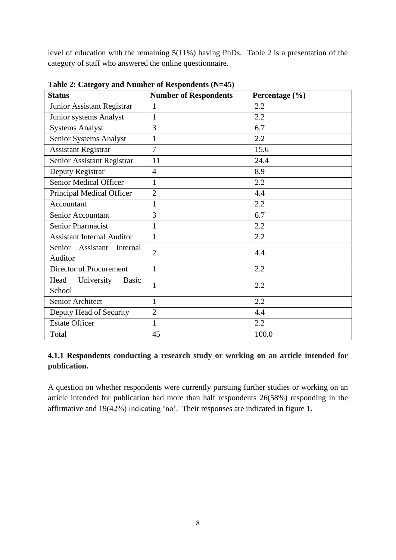level of education with the remaining 5(11%) having PhDs. Table 2 is a presentation of the category of staff who answered the online questionnaire.

| <b>Status</b>                                | <b>Number of Respondents</b> | Percentage (%) |
|----------------------------------------------|------------------------------|----------------|
| Junior Assistant Registrar                   | $\mathbf{1}$                 | 2.2            |
| Junior systems Analyst                       | $\mathbf{1}$                 | 2.2            |
| <b>Systems Analyst</b>                       | 3                            | 6.7            |
| Senior Systems Analyst                       | $\mathbf{1}$                 | 2.2            |
| <b>Assistant Registrar</b>                   | 7                            | 15.6           |
| Senior Assistant Registrar                   | 11                           | 24.4           |
| Deputy Registrar                             | $\overline{4}$               | 8.9            |
| <b>Senior Medical Officer</b>                | $\mathbf{1}$                 | 2.2            |
| Principal Medical Officer                    | $\overline{2}$               | 4.4            |
| Accountant                                   | $\mathbf{1}$                 | 2.2            |
| Senior Accountant                            | 3                            | 6.7            |
| Senior Pharmacist                            | $\mathbf{1}$                 | 2.2            |
| <b>Assistant Internal Auditor</b>            | $\mathbf{1}$                 | 2.2            |
| Senior Assistant<br>Internal<br>Auditor      | $\overline{2}$               | 4.4            |
| Director of Procurement                      | $\mathbf{1}$                 | 2.2            |
| Head<br>University<br><b>Basic</b><br>School | $\mathbf{1}$                 | 2.2            |
| Senior Architect                             | $\mathbf{1}$                 | 2.2            |
| Deputy Head of Security                      | $\overline{2}$               | 4.4            |
| <b>Estate Officer</b>                        | 1                            | 2.2            |
| Total                                        | 45                           | 100.0          |

**Table 2: Category and Number of Respondents (N=45)**

## **4.1.1 Respondents conducting a research study or working on an article intended for publication.**

A question on whether respondents were currently pursuing further studies or working on an article intended for publication had more than half respondents 26(58%) responding in the affirmative and 19(42%) indicating 'no'. Their responses are indicated in figure 1.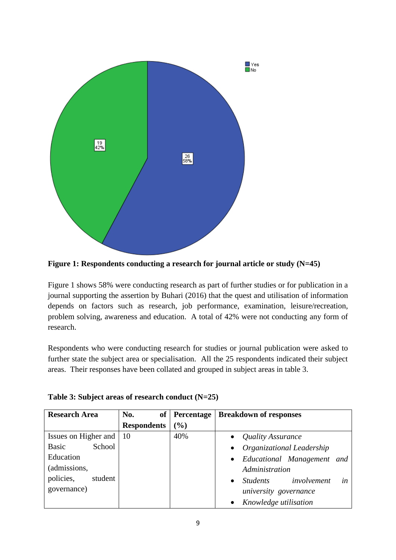



Figure 1 shows 58% were conducting research as part of further studies or for publication in a journal supporting the assertion by Buhari (2016) that the quest and utilisation of information depends on factors such as research, job performance, examination, leisure/recreation, problem solving, awareness and education. A total of 42% were not conducting any form of research.

Respondents who were conducting research for studies or journal publication were asked to further state the subject area or specialisation. All the 25 respondents indicated their subject areas. Their responses have been collated and grouped in subject areas in table 3.

| <b>Research Area</b>            | No.                | of Percentage | <b>Breakdown of responses</b>                     |
|---------------------------------|--------------------|---------------|---------------------------------------------------|
|                                 | <b>Respondents</b> | (%)           |                                                   |
| Issues on Higher and $\vert$ 10 |                    | 40%           | Quality Assurance<br>$\bullet$                    |
| School<br><b>Basic</b>          |                    |               | Organizational Leadership<br>$\bullet$            |
| Education                       |                    |               | • Educational Management and                      |
| (admissions,                    |                    |               | Administration                                    |
| policies,<br>student            |                    |               | involvement<br>in<br><i>Students</i><br>$\bullet$ |
| governance)                     |                    |               | university governance                             |
|                                 |                    |               | Knowledge utilisation                             |

|  | Table 3: Subject areas of research conduct (N=25) |  |
|--|---------------------------------------------------|--|
|  |                                                   |  |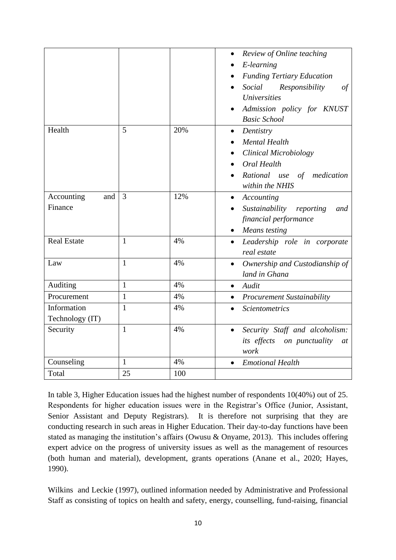|                    |                |     | Review of Online teaching<br>$\bullet$      |
|--------------------|----------------|-----|---------------------------------------------|
|                    |                |     | E-learning                                  |
|                    |                |     | <b>Funding Tertiary Education</b>           |
|                    |                |     | Social<br>Responsibility<br>of              |
|                    |                |     | <i>Universities</i>                         |
|                    |                |     | Admission policy for KNUST                  |
|                    |                |     | <b>Basic School</b>                         |
| Health             | 5              | 20% | Dentistry<br>$\bullet$                      |
|                    |                |     | <b>Mental Health</b>                        |
|                    |                |     | <b>Clinical Microbiology</b>                |
|                    |                |     | Oral Health                                 |
|                    |                |     | Rational use of medication                  |
|                    |                |     | within the NHIS                             |
| Accounting<br>and  | $\overline{3}$ | 12% | Accounting<br>٠                             |
| Finance            |                |     | Sustainability<br>reporting<br>and          |
|                    |                |     | financial performance                       |
|                    |                |     | Means testing<br>$\bullet$                  |
| <b>Real Estate</b> | $\mathbf{1}$   | 4%  | Leadership role in corporate<br>$\bullet$   |
|                    |                |     | real estate                                 |
| Law                | $\mathbf{1}$   | 4%  | Ownership and Custodianship of<br>$\bullet$ |
|                    |                |     | land in Ghana                               |
| Auditing           | $\mathbf{1}$   | 4%  | Audit<br>$\bullet$                          |
| Procurement        | $\mathbf{1}$   | 4%  | Procurement Sustainability<br>$\bullet$     |
| Information        | $\mathbf{1}$   | 4%  | <b>Scientometrics</b>                       |
| Technology (IT)    |                |     |                                             |
| Security           | $\mathbf{1}$   | 4%  | Security Staff and alcoholism:<br>$\bullet$ |
|                    |                |     | its effects on punctuality<br>at            |
|                    |                |     | work                                        |
| Counseling         | $\mathbf{1}$   | 4%  | <b>Emotional Health</b><br>$\bullet$        |
| Total              | 25             | 100 |                                             |

In table 3, Higher Education issues had the highest number of respondents 10(40%) out of 25. Respondents for higher education issues were in the Registrar's Office (Junior, Assistant, Senior Assistant and Deputy Registrars). It is therefore not surprising that they are conducting research in such areas in Higher Education. Their day-to-day functions have been stated as managing the institution's affairs (Owusu & Onyame, 2013). This includes offering expert advice on the progress of university issues as well as the management of resources (both human and material), development, grants operations (Anane et al., 2020; Hayes, 1990).

Wilkins and Leckie (1997), outlined information needed by Administrative and Professional Staff as consisting of topics on health and safety, energy, counselling, fund-raising, financial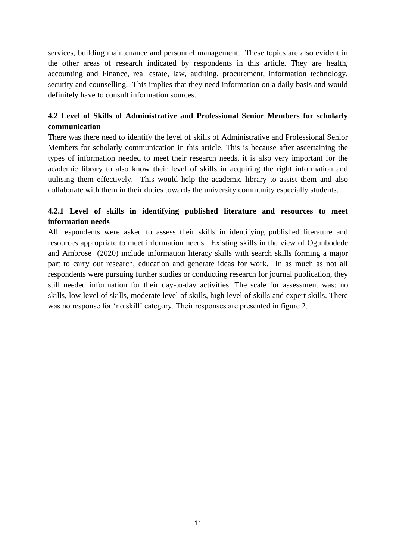services, building maintenance and personnel management. These topics are also evident in the other areas of research indicated by respondents in this article. They are health, accounting and Finance, real estate, law, auditing, procurement, information technology, security and counselling. This implies that they need information on a daily basis and would definitely have to consult information sources.

## **4.2 Level of Skills of Administrative and Professional Senior Members for scholarly communication**

There was there need to identify the level of skills of Administrative and Professional Senior Members for scholarly communication in this article. This is because after ascertaining the types of information needed to meet their research needs, it is also very important for the academic library to also know their level of skills in acquiring the right information and utilising them effectively. This would help the academic library to assist them and also collaborate with them in their duties towards the university community especially students.

## **4.2.1 Level of skills in identifying published literature and resources to meet information needs**

All respondents were asked to assess their skills in identifying published literature and resources appropriate to meet information needs. Existing skills in the view of Ogunbodede and Ambrose (2020) include information literacy skills with search skills forming a major part to carry out research, education and generate ideas for work. In as much as not all respondents were pursuing further studies or conducting research for journal publication, they still needed information for their day-to-day activities. The scale for assessment was: no skills, low level of skills, moderate level of skills, high level of skills and expert skills. There was no response for 'no skill' category. Their responses are presented in figure 2.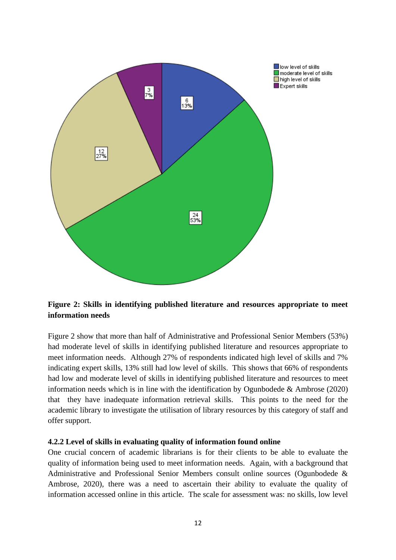

**Figure 2: Skills in identifying published literature and resources appropriate to meet information needs**

Figure 2 show that more than half of Administrative and Professional Senior Members (53%) had moderate level of skills in identifying published literature and resources appropriate to meet information needs. Although 27% of respondents indicated high level of skills and 7% indicating expert skills, 13% still had low level of skills. This shows that 66% of respondents had low and moderate level of skills in identifying published literature and resources to meet information needs which is in line with the identification by Ogunbodede & Ambrose (2020) that they have inadequate information retrieval skills. This points to the need for the academic library to investigate the utilisation of library resources by this category of staff and offer support.

#### **4.2.2 Level of skills in evaluating quality of information found online**

One crucial concern of academic librarians is for their clients to be able to evaluate the quality of information being used to meet information needs. Again, with a background that Administrative and Professional Senior Members consult online sources (Ogunbodede & Ambrose, 2020), there was a need to ascertain their ability to evaluate the quality of information accessed online in this article. The scale for assessment was: no skills, low level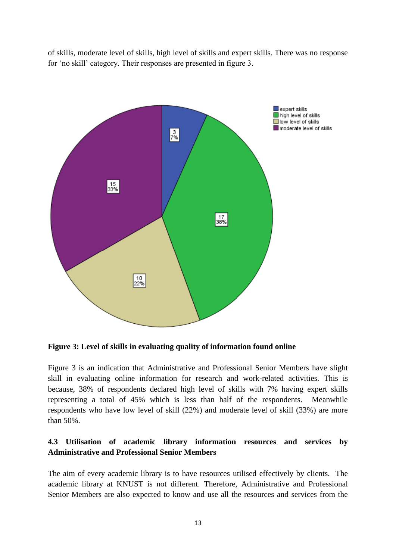of skills, moderate level of skills, high level of skills and expert skills. There was no response for 'no skill' category. Their responses are presented in figure 3.





Figure 3 is an indication that Administrative and Professional Senior Members have slight skill in evaluating online information for research and work-related activities. This is because, 38% of respondents declared high level of skills with 7% having expert skills representing a total of 45% which is less than half of the respondents. Meanwhile respondents who have low level of skill (22%) and moderate level of skill (33%) are more than 50%.

#### **4.3 Utilisation of academic library information resources and services by Administrative and Professional Senior Members**

The aim of every academic library is to have resources utilised effectively by clients. The academic library at KNUST is not different. Therefore, Administrative and Professional Senior Members are also expected to know and use all the resources and services from the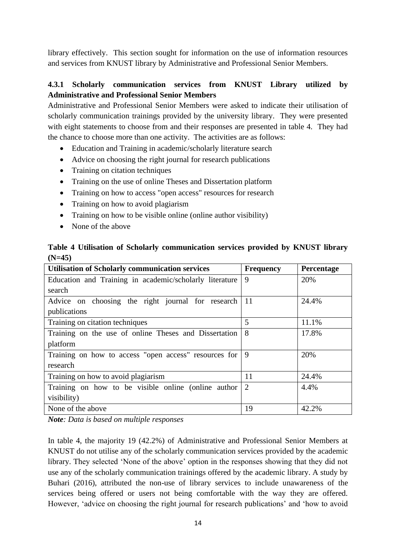library effectively. This section sought for information on the use of information resources and services from KNUST library by Administrative and Professional Senior Members.

## **4.3.1 Scholarly communication services from KNUST Library utilized by Administrative and Professional Senior Members**

Administrative and Professional Senior Members were asked to indicate their utilisation of scholarly communication trainings provided by the university library. They were presented with eight statements to choose from and their responses are presented in table 4. They had the chance to choose more than one activity. The activities are as follows:

- Education and Training in academic/scholarly literature search
- Advice on choosing the right journal for research publications
- Training on citation techniques
- Training on the use of online Theses and Dissertation platform
- Training on how to access "open access" resources for research
- Training on how to avoid plagiarism
- Training on how to be visible online (online author visibility)
- None of the above

|          |  | Table 4 Utilisation of Scholarly communication services provided by KNUST library |  |  |  |
|----------|--|-----------------------------------------------------------------------------------|--|--|--|
| $(N=45)$ |  |                                                                                   |  |  |  |

| <b>Utilisation of Scholarly communication services</b>  | <b>Frequency</b> | Percentage |
|---------------------------------------------------------|------------------|------------|
| Education and Training in academic/scholarly literature | 9                | 20%        |
| search                                                  |                  |            |
| Advice on choosing the right journal for research       | 11               | 24.4%      |
| publications                                            |                  |            |
| Training on citation techniques                         | 5                | 11.1%      |
| Training on the use of online Theses and Dissertation   | 8                | 17.8%      |
| platform                                                |                  |            |
| Training on how to access "open access" resources for   | 9                | 20%        |
| research                                                |                  |            |
| Training on how to avoid plagiarism                     | 11               | 24.4%      |
| Training on how to be visible online (online author     | 2                | 4.4%       |
| visibility)                                             |                  |            |
| None of the above                                       | 19               | 42.2%      |

*Note: Data is based on multiple responses*

In table 4, the majority 19 (42.2%) of Administrative and Professional Senior Members at KNUST do not utilise any of the scholarly communication services provided by the academic library. They selected 'None of the above' option in the responses showing that they did not use any of the scholarly communication trainings offered by the academic library. A study by Buhari (2016), attributed the non-use of library services to include unawareness of the services being offered or users not being comfortable with the way they are offered. However, 'advice on choosing the right journal for research publications' and 'how to avoid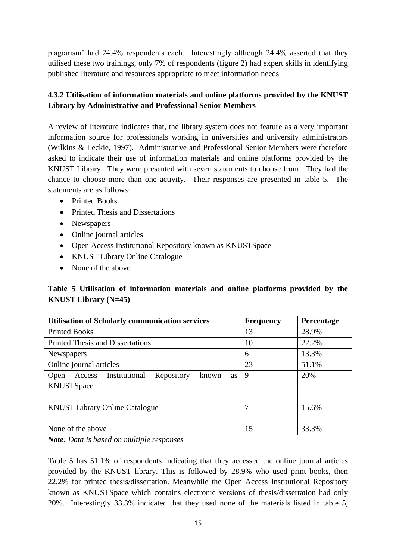plagiarism' had 24.4% respondents each. Interestingly although 24.4% asserted that they utilised these two trainings, only 7% of respondents (figure 2) had expert skills in identifying published literature and resources appropriate to meet information needs

## **4.3.2 Utilisation of information materials and online platforms provided by the KNUST Library by Administrative and Professional Senior Members**

A review of literature indicates that, the library system does not feature as a very important information source for professionals working in universities and university administrators (Wilkins & Leckie, 1997). Administrative and Professional Senior Members were therefore asked to indicate their use of information materials and online platforms provided by the KNUST Library. They were presented with seven statements to choose from. They had the chance to choose more than one activity. Their responses are presented in table 5. The statements are as follows:

- Printed Books
- Printed Thesis and Dissertations
- Newspapers
- Online journal articles
- Open Access Institutional Repository known as KNUSTSpace
- KNUST Library Online Catalogue
- None of the above

**Table 5 Utilisation of information materials and online platforms provided by the KNUST Library (N=45)**

| <b>Utilisation of Scholarly communication services</b>                     | <b>Frequency</b> | Percentage |
|----------------------------------------------------------------------------|------------------|------------|
| <b>Printed Books</b>                                                       | 13               | 28.9%      |
| <b>Printed Thesis and Dissertations</b>                                    | 10               | 22.2%      |
| <b>Newspapers</b>                                                          | 6                | 13.3%      |
| Online journal articles                                                    | 23               | 51.1%      |
| Institutional<br>Repository<br>Access<br>Open<br>known<br>as<br>KNUSTSpace | 9                | 20%        |
| <b>KNUST Library Online Catalogue</b>                                      | 7                | 15.6%      |
| None of the above                                                          | 15               | 33.3%      |

*Note: Data is based on multiple responses*

Table 5 has 51.1% of respondents indicating that they accessed the online journal articles provided by the KNUST library. This is followed by 28.9% who used print books, then 22.2% for printed thesis/dissertation. Meanwhile the Open Access Institutional Repository known as KNUSTSpace which contains electronic versions of thesis/dissertation had only 20%. Interestingly 33.3% indicated that they used none of the materials listed in table 5,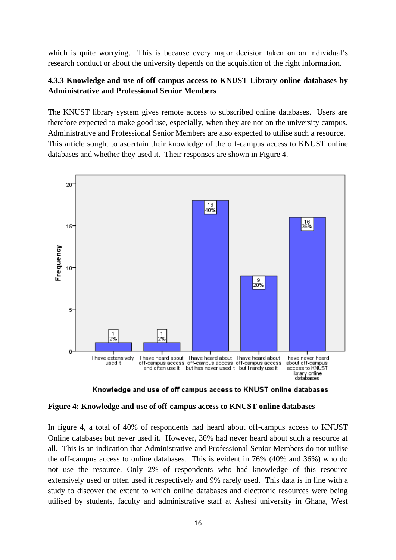which is quite worrying. This is because every major decision taken on an individual's research conduct or about the university depends on the acquisition of the right information.

#### **4.3.3 Knowledge and use of off-campus access to KNUST Library online databases by Administrative and Professional Senior Members**

The KNUST library system gives remote access to subscribed online databases. Users are therefore expected to make good use, especially, when they are not on the university campus. Administrative and Professional Senior Members are also expected to utilise such a resource. This article sought to ascertain their knowledge of the off-campus access to KNUST online databases and whether they used it. Their responses are shown in Figure 4.



Knowledge and use of off campus access to KNUST online databases

#### **Figure 4: Knowledge and use of off-campus access to KNUST online databases**

In figure 4, a total of 40% of respondents had heard about off-campus access to KNUST Online databases but never used it. However, 36% had never heard about such a resource at all. This is an indication that Administrative and Professional Senior Members do not utilise the off-campus access to online databases. This is evident in 76% (40% and 36%) who do not use the resource. Only 2% of respondents who had knowledge of this resource extensively used or often used it respectively and 9% rarely used. This data is in line with a study to discover the extent to which online databases and electronic resources were being utilised by students, faculty and administrative staff at Ashesi university in Ghana, West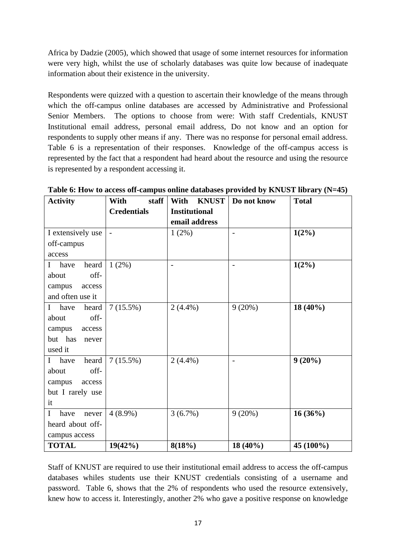Africa by Dadzie (2005), which showed that usage of some internet resources for information were very high, whilst the use of scholarly databases was quite low because of inadequate information about their existence in the university.

Respondents were quizzed with a question to ascertain their knowledge of the means through which the off-campus online databases are accessed by Administrative and Professional Senior Members. The options to choose from were: With staff Credentials, KNUST Institutional email address, personal email address, Do not know and an option for respondents to supply other means if any. There was no response for personal email address. Table 6 is a representation of their responses. Knowledge of the off-campus access is represented by the fact that a respondent had heard about the resource and using the resource is represented by a respondent accessing it.

| <b>Activity</b>               | With<br>staff            | <b>KNUST</b><br>With | Do not know              | <b>Total</b> |
|-------------------------------|--------------------------|----------------------|--------------------------|--------------|
|                               | <b>Credentials</b>       | <b>Institutional</b> |                          |              |
|                               |                          | email address        |                          |              |
| I extensively use             | $\overline{\phantom{a}}$ | 1(2%)                | $\overline{\phantom{0}}$ | $1(2\%)$     |
| off-campus                    |                          |                      |                          |              |
| access                        |                          |                      |                          |              |
| heard<br>have<br>$\mathbf I$  | $1(2\%)$                 |                      |                          | $1(2\%)$     |
| off-<br>about                 |                          |                      |                          |              |
| campus<br>access              |                          |                      |                          |              |
| and often use it              |                          |                      |                          |              |
| have<br>heard<br>$\mathbf{I}$ | 7(15.5%)                 | $2(4.4\%)$           | 9(20%)                   | $18(40\%)$   |
| off-<br>about                 |                          |                      |                          |              |
| campus<br>access              |                          |                      |                          |              |
| but has<br>never              |                          |                      |                          |              |
| used it                       |                          |                      |                          |              |
| heard<br>$\bf{I}$<br>have     | 7(15.5%)                 | $2(4.4\%)$           |                          | $9(20\%)$    |
| off-<br>about                 |                          |                      |                          |              |
| campus<br>access              |                          |                      |                          |              |
| but I rarely use              |                          |                      |                          |              |
| it                            |                          |                      |                          |              |
| $\mathbf I$<br>never<br>have  | $4(8.9\%)$               | 3(6.7%)              | 9(20%)                   | 16(36%)      |
| heard about off-              |                          |                      |                          |              |
| campus access                 |                          |                      |                          |              |
| <b>TOTAL</b>                  | $19(42\%)$               | 8(18%)               | $18(40\%)$               | 45 (100%)    |

**Table 6: How to access off-campus online databases provided by KNUST library (N=45)**

Staff of KNUST are required to use their institutional email address to access the off-campus databases whiles students use their KNUST credentials consisting of a username and password. Table 6, shows that the 2% of respondents who used the resource extensively, knew how to access it. Interestingly, another 2% who gave a positive response on knowledge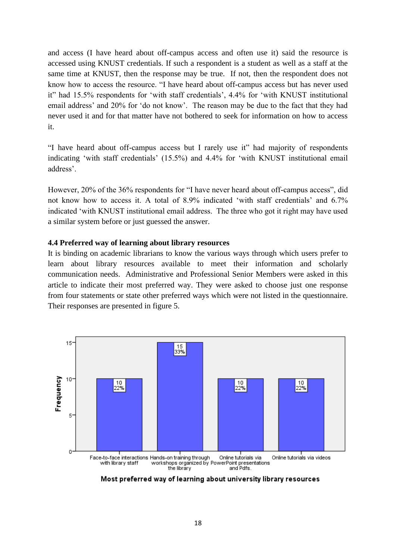and access (I have heard about off-campus access and often use it) said the resource is accessed using KNUST credentials. If such a respondent is a student as well as a staff at the same time at KNUST, then the response may be true. If not, then the respondent does not know how to access the resource. "I have heard about off-campus access but has never used it" had 15.5% respondents for 'with staff credentials', 4.4% for 'with KNUST institutional email address' and 20% for 'do not know'. The reason may be due to the fact that they had never used it and for that matter have not bothered to seek for information on how to access it.

"I have heard about off-campus access but I rarely use it" had majority of respondents indicating 'with staff credentials' (15.5%) and 4.4% for 'with KNUST institutional email address'.

However, 20% of the 36% respondents for "I have never heard about off-campus access", did not know how to access it. A total of 8.9% indicated 'with staff credentials' and 6.7% indicated 'with KNUST institutional email address. The three who got it right may have used a similar system before or just guessed the answer.

#### **4.4 Preferred way of learning about library resources**

It is binding on academic librarians to know the various ways through which users prefer to learn about library resources available to meet their information and scholarly communication needs. Administrative and Professional Senior Members were asked in this article to indicate their most preferred way. They were asked to choose just one response from four statements or state other preferred ways which were not listed in the questionnaire. Their responses are presented in figure 5.



Most preferred way of learning about university library resources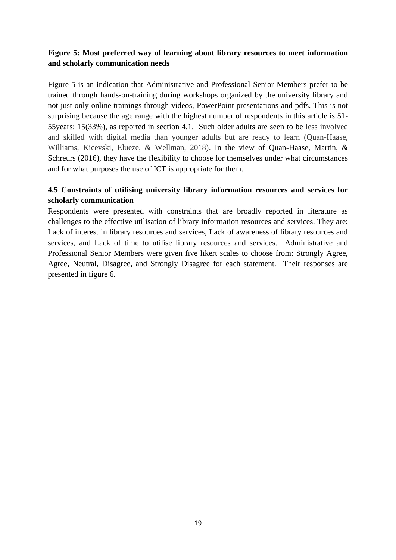## **Figure 5: Most preferred way of learning about library resources to meet information and scholarly communication needs**

Figure 5 is an indication that Administrative and Professional Senior Members prefer to be trained through hands-on-training during workshops organized by the university library and not just only online trainings through videos, PowerPoint presentations and pdfs. This is not surprising because the age range with the highest number of respondents in this article is 51- 55years: 15(33%), as reported in section 4.1. Such older adults are seen to be less involved and skilled with digital media than younger adults but are ready to learn (Quan-Haase, Williams, Kicevski, Elueze, & Wellman, 2018). In the view of Quan-Haase, Martin, & Schreurs (2016), they have the flexibility to choose for themselves under what circumstances and for what purposes the use of ICT is appropriate for them.

#### **4.5 Constraints of utilising university library information resources and services for scholarly communication**

Respondents were presented with constraints that are broadly reported in literature as challenges to the effective utilisation of library information resources and services. They are: Lack of interest in library resources and services, Lack of awareness of library resources and services, and Lack of time to utilise library resources and services. Administrative and Professional Senior Members were given five likert scales to choose from: Strongly Agree, Agree, Neutral, Disagree, and Strongly Disagree for each statement. Their responses are presented in figure 6.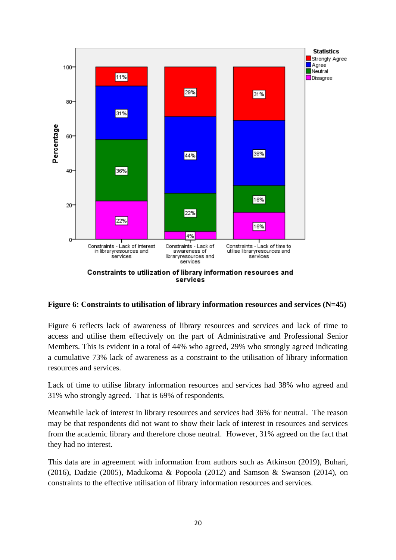

**Figure 6: Constraints to utilisation of library information resources and services (N=45)**

Figure 6 reflects lack of awareness of library resources and services and lack of time to access and utilise them effectively on the part of Administrative and Professional Senior Members. This is evident in a total of 44% who agreed, 29% who strongly agreed indicating a cumulative 73% lack of awareness as a constraint to the utilisation of library information resources and services.

Lack of time to utilise library information resources and services had 38% who agreed and 31% who strongly agreed. That is 69% of respondents.

Meanwhile lack of interest in library resources and services had 36% for neutral. The reason may be that respondents did not want to show their lack of interest in resources and services from the academic library and therefore chose neutral. However, 31% agreed on the fact that they had no interest.

This data are in agreement with information from authors such as Atkinson (2019), Buhari, (2016), Dadzie (2005), Madukoma & Popoola (2012) and Samson & Swanson (2014), on constraints to the effective utilisation of library information resources and services.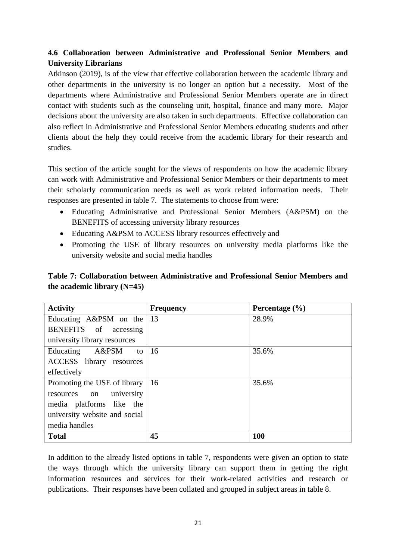## **4.6 Collaboration between Administrative and Professional Senior Members and University Librarians**

Atkinson (2019), is of the view that effective collaboration between the academic library and other departments in the university is no longer an option but a necessity. Most of the departments where Administrative and Professional Senior Members operate are in direct contact with students such as the counseling unit, hospital, finance and many more. Major decisions about the university are also taken in such departments. Effective collaboration can also reflect in Administrative and Professional Senior Members educating students and other clients about the help they could receive from the academic library for their research and studies.

This section of the article sought for the views of respondents on how the academic library can work with Administrative and Professional Senior Members or their departments to meet their scholarly communication needs as well as work related information needs. Their responses are presented in table 7. The statements to choose from were:

- Educating Administrative and Professional Senior Members (A&PSM) on the BENEFITS of accessing university library resources
- Educating A&PSM to ACCESS library resources effectively and
- Promoting the USE of library resources on university media platforms like the university website and social media handles

## **Table 7: Collaboration between Administrative and Professional Senior Members and the academic library (N=45)**

| <b>Activity</b>                   | <b>Frequency</b> | Percentage $(\% )$ |
|-----------------------------------|------------------|--------------------|
| Educating A&PSM on the $\vert$ 13 |                  | 28.9%              |
| BENEFITS of<br>accessing          |                  |                    |
| university library resources      |                  |                    |
| A&PSM<br>Educating<br>to          | <sup>16</sup>    | 35.6%              |
| ACCESS library resources          |                  |                    |
| effectively                       |                  |                    |
| Promoting the USE of library      | <sup>16</sup>    | 35.6%              |
| university<br>resources on        |                  |                    |
| media platforms like the          |                  |                    |
| university website and social     |                  |                    |
| media handles                     |                  |                    |
| <b>Total</b>                      | 45               | 100                |

In addition to the already listed options in table 7, respondents were given an option to state the ways through which the university library can support them in getting the right information resources and services for their work-related activities and research or publications. Their responses have been collated and grouped in subject areas in table 8.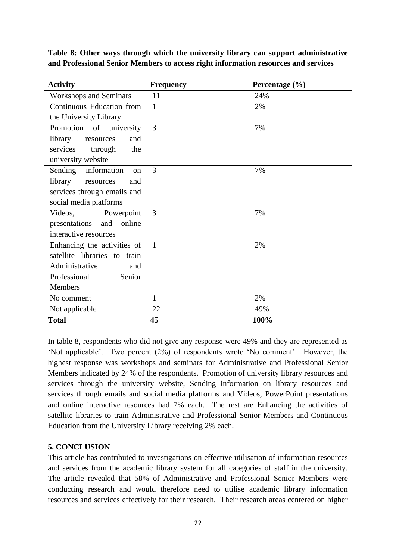**Table 8: Other ways through which the university library can support administrative and Professional Senior Members to access right information resources and services**

| <b>Activity</b>                | <b>Frequency</b> | Percentage (%) |
|--------------------------------|------------------|----------------|
| <b>Workshops and Seminars</b>  | 11               | 24%            |
| Continuous Education from      | 1                | 2%             |
| the University Library         |                  |                |
| Promotion of university        | 3                | 7%             |
| library<br>resources<br>and    |                  |                |
| services<br>the<br>through     |                  |                |
| university website             |                  |                |
| information<br>Sending<br>on   | 3                | 7%             |
| library<br>resources<br>and    |                  |                |
| services through emails and    |                  |                |
| social media platforms         |                  |                |
| Videos,<br>Powerpoint          | 3                | 7%             |
| online<br>presentations<br>and |                  |                |
| interactive resources          |                  |                |
| Enhancing the activities of    | $\overline{1}$   | 2%             |
| satellite libraries to train   |                  |                |
| Administrative<br>and          |                  |                |
| Professional<br>Senior         |                  |                |
| Members                        |                  |                |
| No comment                     | 1                | 2%             |
| Not applicable                 | 22               | 49%            |
| <b>Total</b>                   | 45               | 100%           |

In table 8, respondents who did not give any response were 49% and they are represented as 'Not applicable'. Two percent (2%) of respondents wrote 'No comment'. However, the highest response was workshops and seminars for Administrative and Professional Senior Members indicated by 24% of the respondents. Promotion of university library resources and services through the university website, Sending information on library resources and services through emails and social media platforms and Videos, PowerPoint presentations and online interactive resources had 7% each. The rest are Enhancing the activities of satellite libraries to train Administrative and Professional Senior Members and Continuous Education from the University Library receiving 2% each.

#### **5. CONCLUSION**

This article has contributed to investigations on effective utilisation of information resources and services from the academic library system for all categories of staff in the university. The article revealed that 58% of Administrative and Professional Senior Members were conducting research and would therefore need to utilise academic library information resources and services effectively for their research. Their research areas centered on higher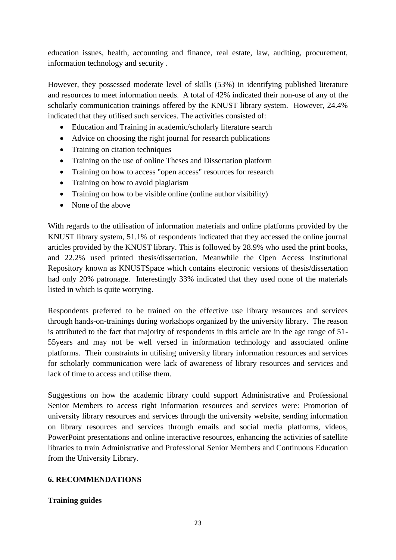education issues, health, accounting and finance, real estate, law, auditing, procurement, information technology and security .

However, they possessed moderate level of skills (53%) in identifying published literature and resources to meet information needs. A total of 42% indicated their non-use of any of the scholarly communication trainings offered by the KNUST library system. However, 24.4% indicated that they utilised such services. The activities consisted of:

- Education and Training in academic/scholarly literature search
- Advice on choosing the right journal for research publications
- Training on citation techniques
- Training on the use of online Theses and Dissertation platform
- Training on how to access "open access" resources for research
- Training on how to avoid plagiarism
- Training on how to be visible online (online author visibility)
- None of the above

With regards to the utilisation of information materials and online platforms provided by the KNUST library system, 51.1% of respondents indicated that they accessed the online journal articles provided by the KNUST library. This is followed by 28.9% who used the print books, and 22.2% used printed thesis/dissertation. Meanwhile the Open Access Institutional Repository known as KNUSTSpace which contains electronic versions of thesis/dissertation had only 20% patronage. Interestingly 33% indicated that they used none of the materials listed in which is quite worrying.

Respondents preferred to be trained on the effective use library resources and services through hands-on-trainings during workshops organized by the university library. The reason is attributed to the fact that majority of respondents in this article are in the age range of 51- 55years and may not be well versed in information technology and associated online platforms. Their constraints in utilising university library information resources and services for scholarly communication were lack of awareness of library resources and services and lack of time to access and utilise them.

Suggestions on how the academic library could support Administrative and Professional Senior Members to access right information resources and services were: Promotion of university library resources and services through the university website, sending information on library resources and services through emails and social media platforms, videos, PowerPoint presentations and online interactive resources, enhancing the activities of satellite libraries to train Administrative and Professional Senior Members and Continuous Education from the University Library.

#### **6. RECOMMENDATIONS**

#### **Training guides**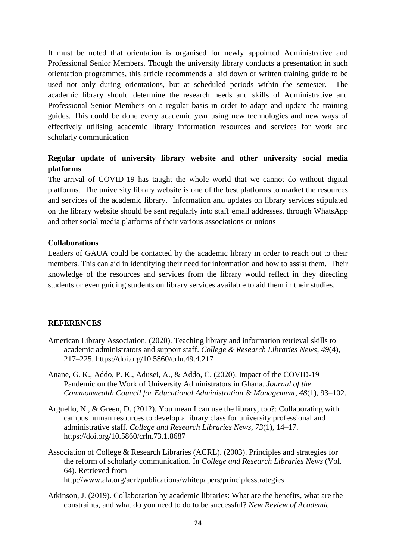It must be noted that orientation is organised for newly appointed Administrative and Professional Senior Members. Though the university library conducts a presentation in such orientation programmes, this article recommends a laid down or written training guide to be used not only during orientations, but at scheduled periods within the semester. The academic library should determine the research needs and skills of Administrative and Professional Senior Members on a regular basis in order to adapt and update the training guides. This could be done every academic year using new technologies and new ways of effectively utilising academic library information resources and services for work and scholarly communication

#### **Regular update of university library website and other university social media platforms**

The arrival of COVID-19 has taught the whole world that we cannot do without digital platforms. The university library website is one of the best platforms to market the resources and services of the academic library. Information and updates on library services stipulated on the library website should be sent regularly into staff email addresses, through WhatsApp and other social media platforms of their various associations or unions

#### **Collaborations**

Leaders of GAUA could be contacted by the academic library in order to reach out to their members. This can aid in identifying their need for information and how to assist them. Their knowledge of the resources and services from the library would reflect in they directing students or even guiding students on library services available to aid them in their studies.

#### **REFERENCES**

- American Library Association. (2020). Teaching library and information retrieval skills to academic administrators and support staff. *College & Research Libraries News*, *49*(4), 217–225. https://doi.org/10.5860/crln.49.4.217
- Anane, G. K., Addo, P. K., Adusei, A., & Addo, C. (2020). Impact of the COVID-19 Pandemic on the Work of University Administrators in Ghana. *Journal of the Commonwealth Council for Educational Administration & Management*, *48*(1), 93–102.
- Arguello, N., & Green, D. (2012). You mean I can use the library, too?: Collaborating with campus human resources to develop a library class for university professional and administrative staff. *College and Research Libraries News*, *73*(1), 14–17. https://doi.org/10.5860/crln.73.1.8687
- Association of College & Research Libraries (ACRL). (2003). Principles and strategies for the reform of scholarly communication. In *College and Research Libraries News* (Vol. 64). Retrieved from http://www.ala.org/acrl/publications/whitepapers/principlesstrategies
- Atkinson, J. (2019). Collaboration by academic libraries: What are the benefits, what are the constraints, and what do you need to do to be successful? *New Review of Academic*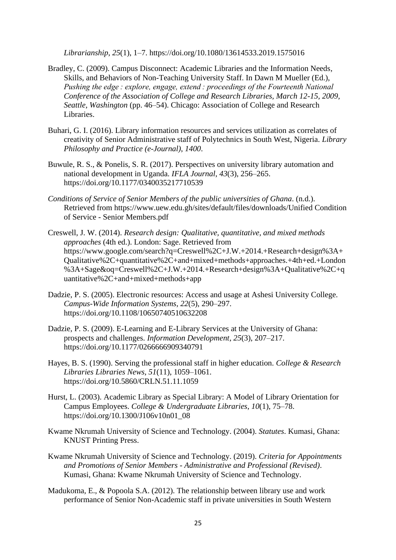*Librarianship*, *25*(1), 1–7. https://doi.org/10.1080/13614533.2019.1575016

- Bradley, C. (2009). Campus Disconnect: Academic Libraries and the Information Needs, Skills, and Behaviors of Non-Teaching University Staff. In Dawn M Mueller (Ed.), *Pushing the edge : explore, engage, extend : proceedings of the Fourteenth National Conference of the Association of College and Research Libraries, March 12-15, 2009, Seattle, Washington* (pp. 46–54). Chicago: Association of College and Research Libraries.
- Buhari, G. I. (2016). Library information resources and services utilization as correlates of creativity of Senior Administrative staff of Polytechnics in South West, Nigeria. *Library Philosophy and Practice (e-Journal)*, *1400*.
- Buwule, R. S., & Ponelis, S. R. (2017). Perspectives on university library automation and national development in Uganda. *IFLA Journal*, *43*(3), 256–265. https://doi.org/10.1177/0340035217710539
- *Conditions of Service of Senior Members of the public universities of Ghana*. (n.d.). Retrieved from https://www.uew.edu.gh/sites/default/files/downloads/Unified Condition of Service - Senior Members.pdf
- Creswell, J. W. (2014). *Research design: Qualitative, quantitative, and mixed methods approaches* (4th ed.). London: Sage. Retrieved from https://www.google.com/search?q=Creswell%2C+J.W.+2014.+Research+design%3A+ Qualitative%2C+quantitative%2C+and+mixed+methods+approaches.+4th+ed.+London %3A+Sage&oq=Creswell%2C+J.W.+2014.+Research+design%3A+Qualitative%2C+q uantitative%2C+and+mixed+methods+app
- Dadzie, P. S. (2005). Electronic resources: Access and usage at Ashesi University College. *Campus-Wide Information Systems*, *22*(5), 290–297. https://doi.org/10.1108/10650740510632208
- Dadzie, P. S. (2009). E-Learning and E-Library Services at the University of Ghana: prospects and challenges. *Information Development*, *25*(3), 207–217. https://doi.org/10.1177/0266666909340791
- Hayes, B. S. (1990). Serving the professional staff in higher education. *College & Research Libraries Libraries News*, *51*(11), 1059–1061. https://doi.org/10.5860/CRLN.51.11.1059
- Hurst, L. (2003). Academic Library as Special Library: A Model of Library Orientation for Campus Employees. *College & Undergraduate Libraries*, *10*(1), 75–78. https://doi.org/10.1300/J106v10n01\_08
- Kwame Nkrumah University of Science and Technology. (2004). *Statutes*. Kumasi, Ghana: KNUST Printing Press.
- Kwame Nkrumah University of Science and Technology. (2019). *Criteria for Appointments and Promotions of Senior Members - Administrative and Professional (Revised)*. Kumasi, Ghana: Kwame Nkrumah University of Science and Technology.
- Madukoma, E., & Popoola S.A. (2012). The relationship between library use and work performance of Senior Non-Academic staff in private universities in South Western